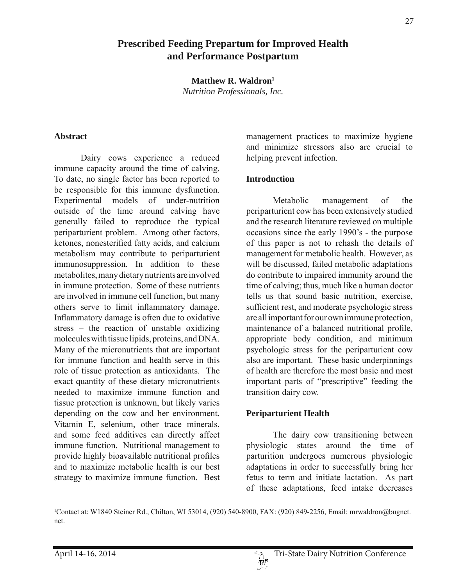# **Prescribed Feeding Prepartum for Improved Health and Performance Postpartum**

**Matthew R. Waldron1** *Nutrition Professionals, Inc.*

#### **Abstract**

 Dairy cows experience a reduced immune capacity around the time of calving. To date, no single factor has been reported to be responsible for this immune dysfunction. Experimental models of under-nutrition outside of the time around calving have generally failed to reproduce the typical periparturient problem. Among other factors, ketones, nonesterified fatty acids, and calcium metabolism may contribute to periparturient immunosuppression. In addition to these metabolites, many dietary nutrients are involved in immune protection. Some of these nutrients are involved in immune cell function, but many others serve to limit inflammatory damage. Inflammatory damage is often due to oxidative stress – the reaction of unstable oxidizing molecules with tissue lipids, proteins, and DNA. Many of the micronutrients that are important for immune function and health serve in this role of tissue protection as antioxidants. The exact quantity of these dietary micronutrients needed to maximize immune function and tissue protection is unknown, but likely varies depending on the cow and her environment. Vitamin E, selenium, other trace minerals, and some feed additives can directly affect immune function. Nutritional management to provide highly bioavailable nutritional profiles and to maximize metabolic health is our best strategy to maximize immune function. Best

management practices to maximize hygiene and minimize stressors also are crucial to helping prevent infection.

#### **Introduction**

 Metabolic management of the periparturient cow has been extensively studied and the research literature reviewed on multiple occasions since the early 1990's - the purpose of this paper is not to rehash the details of management for metabolic health. However, as will be discussed, failed metabolic adaptations do contribute to impaired immunity around the time of calving; thus, much like a human doctor tells us that sound basic nutrition, exercise, sufficient rest, and moderate psychologic stress are all important for our own immune protection, maintenance of a balanced nutritional profile, appropriate body condition, and minimum psychologic stress for the periparturient cow also are important. These basic underpinnings of health are therefore the most basic and most important parts of "prescriptive" feeding the transition dairy cow.

#### **Periparturient Health**

 The dairy cow transitioning between physiologic states around the time of parturition undergoes numerous physiologic adaptations in order to successfully bring her fetus to term and initiate lactation. As part of these adaptations, feed intake decreases

<sup>1</sup> Contact at: W1840 Steiner Rd., Chilton, WI 53014, (920) 540-8900, FAX: (920) 849-2256, Email: mrwaldron@bugnet. net.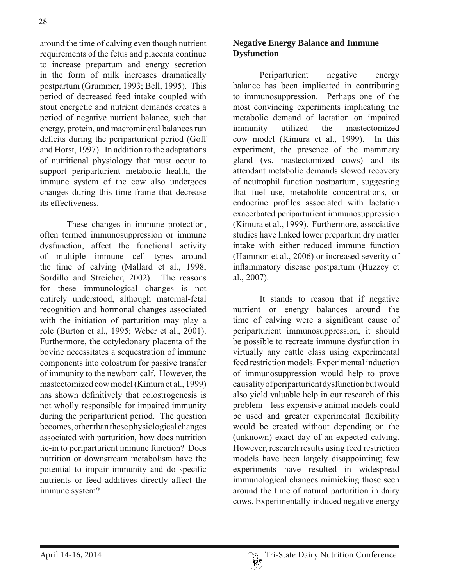around the time of calving even though nutrient requirements of the fetus and placenta continue to increase prepartum and energy secretion in the form of milk increases dramatically postpartum (Grummer, 1993; Bell, 1995). This period of decreased feed intake coupled with stout energetic and nutrient demands creates a period of negative nutrient balance, such that energy, protein, and macromineral balances run deficits during the periparturient period (Goff and Horst, 1997). In addition to the adaptations of nutritional physiology that must occur to support periparturient metabolic health, the immune system of the cow also undergoes changes during this time-frame that decrease its effectiveness.

 These changes in immune protection, often termed immunosuppression or immune dysfunction, affect the functional activity of multiple immune cell types around the time of calving (Mallard et al., 1998; Sordillo and Streicher, 2002). The reasons for these immunological changes is not entirely understood, although maternal-fetal recognition and hormonal changes associated with the initiation of parturition may play a role (Burton et al., 1995; Weber et al., 2001). Furthermore, the cotyledonary placenta of the bovine necessitates a sequestration of immune components into colostrum for passive transfer of immunity to the newborn calf. However, the mastectomized cow model (Kimura et al., 1999) has shown definitively that colostrogenesis is not wholly responsible for impaired immunity during the periparturient period. The question becomes, other than these physiological changes associated with parturition, how does nutrition tie-in to periparturient immune function? Does nutrition or downstream metabolism have the potential to impair immunity and do specific nutrients or feed additives directly affect the immune system?

# **Negative Energy Balance and Immune Dysfunction**

 Periparturient negative energy balance has been implicated in contributing to immunosuppression. Perhaps one of the most convincing experiments implicating the metabolic demand of lactation on impaired immunity utilized the mastectomized cow model (Kimura et al., 1999). In this experiment, the presence of the mammary gland (vs. mastectomized cows) and its attendant metabolic demands slowed recovery of neutrophil function postpartum, suggesting that fuel use, metabolite concentrations, or endocrine profiles associated with lactation exacerbated periparturient immunosuppression (Kimura et al., 1999). Furthermore, associative studies have linked lower prepartum dry matter intake with either reduced immune function (Hammon et al., 2006) or increased severity of inflammatory disease postpartum (Huzzey et al., 2007).

 It stands to reason that if negative nutrient or energy balances around the time of calving were a significant cause of periparturient immunosuppression, it should be possible to recreate immune dysfunction in virtually any cattle class using experimental feed restriction models. Experimental induction of immunosuppression would help to prove causality of periparturient dysfunction but would also yield valuable help in our research of this problem - less expensive animal models could be used and greater experimental flexibility would be created without depending on the (unknown) exact day of an expected calving. However, research results using feed restriction models have been largely disappointing; few experiments have resulted in widespread immunological changes mimicking those seen around the time of natural parturition in dairy cows. Experimentally-induced negative energy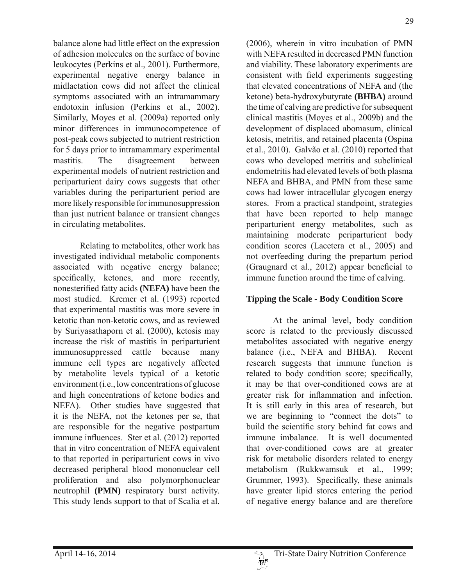balance alone had little effect on the expression of adhesion molecules on the surface of bovine leukocytes (Perkins et al., 2001). Furthermore, experimental negative energy balance in midlactation cows did not affect the clinical symptoms associated with an intramammary endotoxin infusion (Perkins et al., 2002). Similarly, Moyes et al. (2009a) reported only minor differences in immunocompetence of post-peak cows subjected to nutrient restriction for 5 days prior to intramammary experimental mastitis. The disagreement between experimental models of nutrient restriction and periparturient dairy cows suggests that other variables during the periparturient period are more likely responsible for immunosuppression than just nutrient balance or transient changes in circulating metabolites.

 Relating to metabolites, other work has investigated individual metabolic components associated with negative energy balance; specifically, ketones, and more recently, nonesterified fatty acids (NEFA) have been the most studied. Kremer et al. (1993) reported that experimental mastitis was more severe in ketotic than non-ketotic cows, and as reviewed by Suriyasathaporn et al. (2000), ketosis may increase the risk of mastitis in periparturient immunosuppressed cattle because many immune cell types are negatively affected by metabolite levels typical of a ketotic environment (i.e., low concentrations of glucose and high concentrations of ketone bodies and NEFA). Other studies have suggested that it is the NEFA, not the ketones per se, that are responsible for the negative postpartum immune influences. Ster et al. (2012) reported that in vitro concentration of NEFA equivalent to that reported in periparturient cows in vivo decreased peripheral blood mononuclear cell proliferation and also polymorphonuclear neutrophil **(PMN)** respiratory burst activity. This study lends support to that of Scalia et al.

(2006), wherein in vitro incubation of PMN with NEFA resulted in decreased PMN function and viability. These laboratory experiments are consistent with field experiments suggesting that elevated concentrations of NEFA and (the ketone) beta-hydroxybutyrate **(BHBA)** around the time of calving are predictive for subsequent clinical mastitis (Moyes et al., 2009b) and the development of displaced abomasum, clinical ketosis, metritis, and retained placenta (Ospina et al., 2010). Galvão et al. (2010) reported that cows who developed metritis and subclinical endometritis had elevated levels of both plasma NEFA and BHBA, and PMN from these same cows had lower intracellular glycogen energy stores. From a practical standpoint, strategies that have been reported to help manage periparturient energy metabolites, such as maintaining moderate periparturient body condition scores (Lacetera et al., 2005) and not overfeeding during the prepartum period (Graugnard et al.,  $2012$ ) appear beneficial to immune function around the time of calving.

# **Tipping the Scale - Body Condition Score**

 At the animal level, body condition score is related to the previously discussed metabolites associated with negative energy balance (i.e., NEFA and BHBA). Recent research suggests that immune function is related to body condition score; specifically, it may be that over-conditioned cows are at greater risk for inflammation and infection. It is still early in this area of research, but we are beginning to "connect the dots" to build the scientific story behind fat cows and immune imbalance. It is well documented that over-conditioned cows are at greater risk for metabolic disorders related to energy metabolism (Rukkwamsuk et al., 1999; Grummer, 1993). Specifically, these animals have greater lipid stores entering the period of negative energy balance and are therefore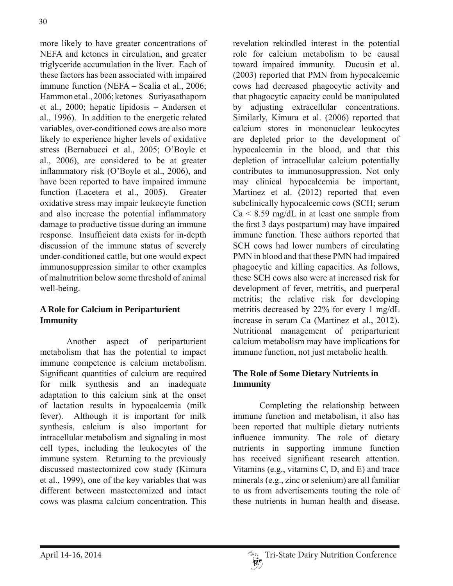more likely to have greater concentrations of NEFA and ketones in circulation, and greater triglyceride accumulation in the liver. Each of these factors has been associated with impaired immune function (NEFA – Scalia et al., 2006; Hammon et al., 2006; ketones – Suriyasathaporn et al., 2000; hepatic lipidosis – Andersen et al., 1996). In addition to the energetic related variables, over-conditioned cows are also more likely to experience higher levels of oxidative stress (Bernabucci et al., 2005; O'Boyle et al., 2006), are considered to be at greater inflammatory risk (O'Boyle et al., 2006), and have been reported to have impaired immune function (Lacetera et al., 2005). Greater oxidative stress may impair leukocyte function and also increase the potential inflammatory damage to productive tissue during an immune response. Insufficient data exists for in-depth discussion of the immune status of severely under-conditioned cattle, but one would expect immunosuppression similar to other examples of malnutrition below some threshold of animal well-being.

# **A Role for Calcium in Periparturient Immunity**

 Another aspect of periparturient metabolism that has the potential to impact immune competence is calcium metabolism. Significant quantities of calcium are required for milk synthesis and an inadequate adaptation to this calcium sink at the onset of lactation results in hypocalcemia (milk fever). Although it is important for milk synthesis, calcium is also important for intracellular metabolism and signaling in most cell types, including the leukocytes of the immune system. Returning to the previously discussed mastectomized cow study (Kimura et al., 1999), one of the key variables that was different between mastectomized and intact cows was plasma calcium concentration. This

revelation rekindled interest in the potential role for calcium metabolism to be causal toward impaired immunity. Ducusin et al. (2003) reported that PMN from hypocalcemic cows had decreased phagocytic activity and that phagocytic capacity could be manipulated by adjusting extracellular concentrations. Similarly, Kimura et al. (2006) reported that calcium stores in mononuclear leukocytes are depleted prior to the development of hypocalcemia in the blood, and that this depletion of intracellular calcium potentially contributes to immunosuppression. Not only may clinical hypocalcemia be important, Martinez et al. (2012) reported that even subclinically hypocalcemic cows (SCH; serum  $Ca \leq 8.59$  mg/dL in at least one sample from the first 3 days postpartum) may have impaired immune function. These authors reported that SCH cows had lower numbers of circulating PMN in blood and that these PMN had impaired phagocytic and killing capacities. As follows, these SCH cows also were at increased risk for development of fever, metritis, and puerperal metritis; the relative risk for developing metritis decreased by 22% for every 1 mg/dL increase in serum Ca (Martinez et al., 2012). Nutritional management of periparturient calcium metabolism may have implications for immune function, not just metabolic health.

# **The Role of Some Dietary Nutrients in Immunity**

 Completing the relationship between immune function and metabolism, it also has been reported that multiple dietary nutrients influence immunity. The role of dietary nutrients in supporting immune function has received significant research attention. Vitamins (e.g., vitamins C, D, and E) and trace minerals (e.g., zinc or selenium) are all familiar to us from advertisements touting the role of these nutrients in human health and disease.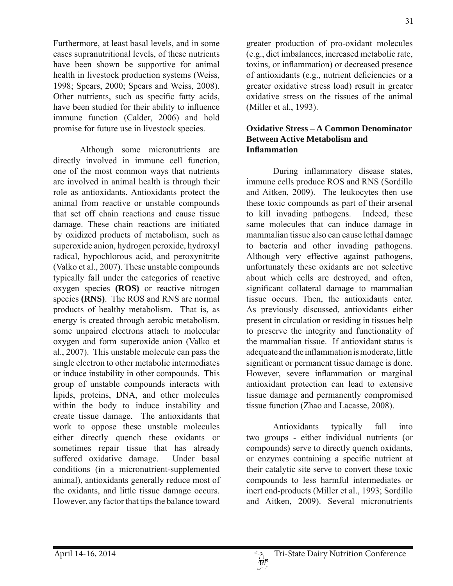Furthermore, at least basal levels, and in some cases supranutritional levels, of these nutrients have been shown be supportive for animal health in livestock production systems (Weiss, 1998; Spears, 2000; Spears and Weiss, 2008). Other nutrients, such as specific fatty acids, have been studied for their ability to influence immune function (Calder, 2006) and hold promise for future use in livestock species.

 Although some micronutrients are directly involved in immune cell function, one of the most common ways that nutrients are involved in animal health is through their role as antioxidants. Antioxidants protect the animal from reactive or unstable compounds that set off chain reactions and cause tissue damage. These chain reactions are initiated by oxidized products of metabolism, such as superoxide anion, hydrogen peroxide, hydroxyl radical, hypochlorous acid, and peroxynitrite (Valko et al., 2007). These unstable compounds typically fall under the categories of reactive oxygen species **(ROS)** or reactive nitrogen species **(RNS)**. The ROS and RNS are normal products of healthy metabolism. That is, as energy is created through aerobic metabolism, some unpaired electrons attach to molecular oxygen and form superoxide anion (Valko et al., 2007). This unstable molecule can pass the single electron to other metabolic intermediates or induce instability in other compounds. This group of unstable compounds interacts with lipids, proteins, DNA, and other molecules within the body to induce instability and create tissue damage. The antioxidants that work to oppose these unstable molecules either directly quench these oxidants or sometimes repair tissue that has already suffered oxidative damage. Under basal conditions (in a micronutrient-supplemented animal), antioxidants generally reduce most of the oxidants, and little tissue damage occurs. However, any factor that tips the balance toward

greater production of pro-oxidant molecules (e.g., diet imbalances, increased metabolic rate, toxins, or inflammation) or decreased presence of antioxidants (e.g., nutrient deficiencies or a greater oxidative stress load) result in greater oxidative stress on the tissues of the animal (Miller et al., 1993).

### **Oxidative Stress – A Common Denominator Between Active Metabolism and Inflammation**

During inflammatory disease states, immune cells produce ROS and RNS (Sordillo and Aitken, 2009). The leukocytes then use these toxic compounds as part of their arsenal to kill invading pathogens. Indeed, these same molecules that can induce damage in mammalian tissue also can cause lethal damage to bacteria and other invading pathogens. Although very effective against pathogens, unfortunately these oxidants are not selective about which cells are destroyed, and often, significant collateral damage to mammalian tissue occurs. Then, the antioxidants enter. As previously discussed, antioxidants either present in circulation or residing in tissues help to preserve the integrity and functionality of the mammalian tissue. If antioxidant status is adequate and the inflammation is moderate, little significant or permanent tissue damage is done. However, severe inflammation or marginal antioxidant protection can lead to extensive tissue damage and permanently compromised tissue function (Zhao and Lacasse, 2008).

 Antioxidants typically fall into two groups - either individual nutrients (or compounds) serve to directly quench oxidants, or enzymes containing a specific nutrient at their catalytic site serve to convert these toxic compounds to less harmful intermediates or inert end-products (Miller et al., 1993; Sordillo and Aitken, 2009). Several micronutrients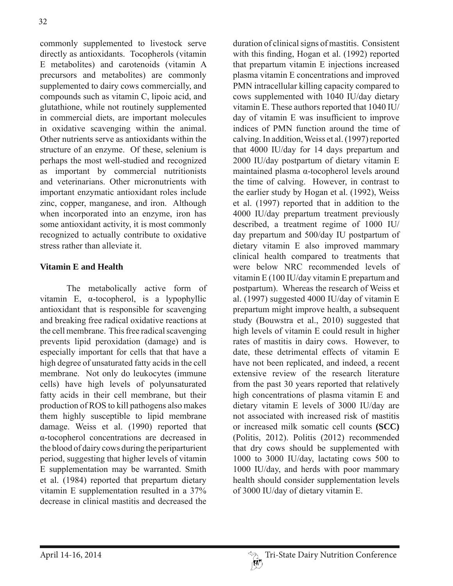commonly supplemented to livestock serve directly as antioxidants. Tocopherols (vitamin E metabolites) and carotenoids (vitamin A precursors and metabolites) are commonly supplemented to dairy cows commercially, and compounds such as vitamin C, lipoic acid, and glutathione, while not routinely supplemented in commercial diets, are important molecules in oxidative scavenging within the animal. Other nutrients serve as antioxidants within the structure of an enzyme. Of these, selenium is perhaps the most well-studied and recognized as important by commercial nutritionists and veterinarians. Other micronutrients with important enzymatic antioxidant roles include zinc, copper, manganese, and iron. Although when incorporated into an enzyme, iron has some antioxidant activity, it is most commonly recognized to actually contribute to oxidative stress rather than alleviate it.

# **Vitamin E and Health**

 The metabolically active form of vitamin E,  $\alpha$ -tocopherol, is a lypophyllic antioxidant that is responsible for scavenging and breaking free radical oxidative reactions at the cell membrane. This free radical scavenging prevents lipid peroxidation (damage) and is especially important for cells that that have a high degree of unsaturated fatty acids in the cell membrane. Not only do leukocytes (immune cells) have high levels of polyunsaturated fatty acids in their cell membrane, but their production of ROS to kill pathogens also makes them highly susceptible to lipid membrane damage. Weiss et al. (1990) reported that  $\alpha$ -tocopherol concentrations are decreased in the blood of dairy cows during the periparturient period, suggesting that higher levels of vitamin E supplementation may be warranted. Smith et al. (1984) reported that prepartum dietary vitamin E supplementation resulted in a 37% decrease in clinical mastitis and decreased the

duration of clinical signs of mastitis. Consistent with this finding, Hogan et al. (1992) reported that prepartum vitamin E injections increased plasma vitamin E concentrations and improved PMN intracellular killing capacity compared to cows supplemented with 1040 IU/day dietary vitamin E. These authors reported that 1040 IU/ day of vitamin  $E$  was insufficient to improve indices of PMN function around the time of calving. In addition, Weiss et al. (1997) reported that 4000 IU/day for 14 days prepartum and 2000 IU/day postpartum of dietary vitamin E maintained plasma  $\alpha$ -tocopherol levels around the time of calving. However, in contrast to the earlier study by Hogan et al. (1992), Weiss et al. (1997) reported that in addition to the 4000 IU/day prepartum treatment previously described, a treatment regime of 1000 IU/ day prepartum and 500/day IU postpartum of dietary vitamin E also improved mammary clinical health compared to treatments that were below NRC recommended levels of vitamin E (100 IU/day vitamin E prepartum and postpartum). Whereas the research of Weiss et al. (1997) suggested 4000 IU/day of vitamin E prepartum might improve health, a subsequent study (Bouwstra et al., 2010) suggested that high levels of vitamin E could result in higher rates of mastitis in dairy cows. However, to date, these detrimental effects of vitamin E have not been replicated, and indeed, a recent extensive review of the research literature from the past 30 years reported that relatively high concentrations of plasma vitamin E and dietary vitamin E levels of 3000 IU/day are not associated with increased risk of mastitis or increased milk somatic cell counts **(SCC)** (Politis, 2012). Politis (2012) recommended that dry cows should be supplemented with 1000 to 3000 IU/day, lactating cows 500 to 1000 IU/day, and herds with poor mammary health should consider supplementation levels of 3000 IU/day of dietary vitamin E.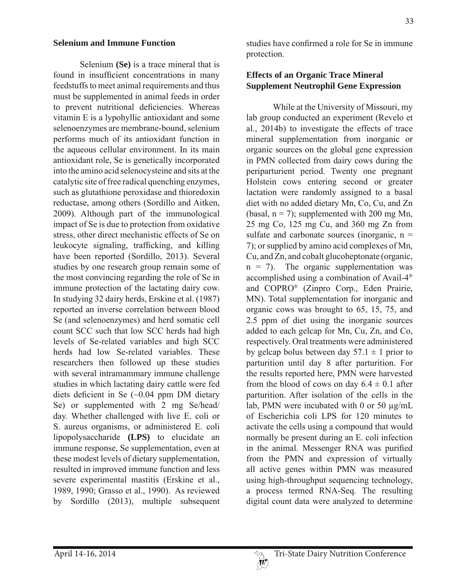#### **Selenium and Immune Function**

 Selenium **(Se)** is a trace mineral that is found in insufficient concentrations in many feedstuffs to meet animal requirements and thus must be supplemented in animal feeds in order to prevent nutritional deficiencies. Whereas vitamin E is a lypohyllic antioxidant and some selenoenzymes are membrane-bound, selenium performs much of its antioxidant function in the aqueous cellular environment. In its main antioxidant role, Se is genetically incorporated into the amino acid selenocysteine and sits at the catalytic site of free radical quenching enzymes, such as glutathione peroxidase and thioredoxin reductase, among others (Sordillo and Aitken, 2009). Although part of the immunological impact of Se is due to protection from oxidative stress, other direct mechanistic effects of Se on leukocyte signaling, trafficking, and killing have been reported (Sordillo, 2013). Several studies by one research group remain some of the most convincing regarding the role of Se in immune protection of the lactating dairy cow. In studying 32 dairy herds, Erskine et al. (1987) reported an inverse correlation between blood Se (and selenoenzymes) and herd somatic cell count SCC such that low SCC herds had high levels of Se-related variables and high SCC herds had low Se-related variables. These researchers then followed up these studies with several intramammary immune challenge studies in which lactating dairy cattle were fed diets deficient in Se  $(\sim 0.04$  ppm DM dietary Se) or supplemented with 2 mg Se/head/ day. Whether challenged with live E. coli or S. aureus organisms, or administered E. coli lipopolysaccharide **(LPS)** to elucidate an immune response, Se supplementation, even at these modest levels of dietary supplementation, resulted in improved immune function and less severe experimental mastitis (Erskine et al., 1989, 1990; Grasso et al., 1990). As reviewed by Sordillo (2013), multiple subsequent

studies have confirmed a role for Se in immune protection.

# **Effects of an Organic Trace Mineral Supplement Neutrophil Gene Expression**

 While at the University of Missouri, my lab group conducted an experiment (Revelo et al., 2014b) to investigate the effects of trace mineral supplementation from inorganic or organic sources on the global gene expression in PMN collected from dairy cows during the periparturient period. Twenty one pregnant Holstein cows entering second or greater lactation were randomly assigned to a basal diet with no added dietary Mn, Co, Cu, and Zn (basal,  $n = 7$ ); supplemented with 200 mg Mn, 25 mg Co, 125 mg Cu, and 360 mg Zn from sulfate and carbonate sources (inorganic,  $n =$ 7); or supplied by amino acid complexes of Mn, Cu, and Zn, and cobalt glucoheptonate (organic,  $n = 7$ . The organic supplementation was accomplished using a combination of Avail-4® and COPRO® (Zinpro Corp., Eden Prairie, MN). Total supplementation for inorganic and organic cows was brought to 65, 15, 75, and 2.5 ppm of diet using the inorganic sources added to each gelcap for Mn, Cu, Zn, and Co, respectively. Oral treatments were administered by gelcap bolus between day  $57.1 \pm 1$  prior to parturition until day 8 after parturition. For the results reported here, PMN were harvested from the blood of cows on day  $6.4 \pm 0.1$  after parturition. After isolation of the cells in the lab, PMN were incubated with 0 or 50 μg/mL of Escherichia coli LPS for 120 minutes to activate the cells using a compound that would normally be present during an E. coli infection in the animal. Messenger RNA was purified from the PMN and expression of virtually all active genes within PMN was measured using high-throughput sequencing technology, a process termed RNA-Seq. The resulting digital count data were analyzed to determine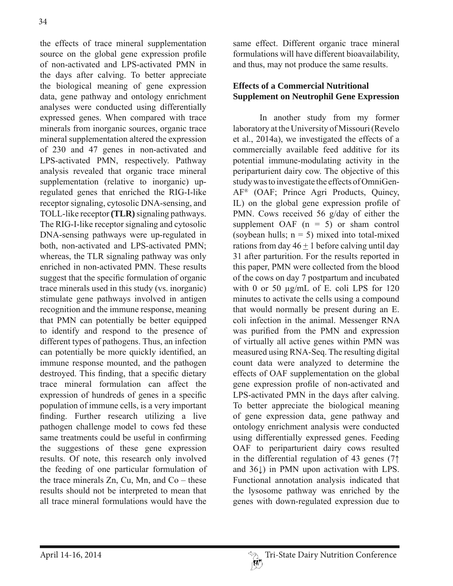the effects of trace mineral supplementation source on the global gene expression profile of non-activated and LPS-activated PMN in the days after calving. To better appreciate the biological meaning of gene expression data, gene pathway and ontology enrichment analyses were conducted using differentially expressed genes. When compared with trace minerals from inorganic sources, organic trace mineral supplementation altered the expression of 230 and 47 genes in non-activated and LPS-activated PMN, respectively. Pathway analysis revealed that organic trace mineral supplementation (relative to inorganic) upregulated genes that enriched the RIG-I-like receptor signaling, cytosolic DNA-sensing, and TOLL-like receptor **(TLR)** signaling pathways. The RIG-I-like receptor signaling and cytosolic DNA-sensing pathways were up-regulated in both, non-activated and LPS-activated PMN; whereas, the TLR signaling pathway was only enriched in non-activated PMN. These results suggest that the specific formulation of organic trace minerals used in this study (vs. inorganic) stimulate gene pathways involved in antigen recognition and the immune response, meaning that PMN can potentially be better equipped to identify and respond to the presence of different types of pathogens. Thus, an infection can potentially be more quickly identified, an immune response mounted, and the pathogen destroyed. This finding, that a specific dietary trace mineral formulation can affect the expression of hundreds of genes in a specific population of immune cells, is a very important finding. Further research utilizing a live pathogen challenge model to cows fed these same treatments could be useful in confirming the suggestions of these gene expression results. Of note, this research only involved the feeding of one particular formulation of the trace minerals  $Zn$ ,  $Cu$ ,  $Mn$ , and  $Co$  – these results should not be interpreted to mean that all trace mineral formulations would have the

same effect. Different organic trace mineral formulations will have different bioavailability, and thus, may not produce the same results.

## **Effects of a Commercial Nutritional Supplement on Neutrophil Gene Expression**

 In another study from my former laboratory at the University of Missouri (Revelo et al., 2014a), we investigated the effects of a commercially available feed additive for its potential immune-modulating activity in the periparturient dairy cow. The objective of this study was to investigate the effects of OmniGen-AF® (OAF; Prince Agri Products, Quincy, IL) on the global gene expression profile of PMN. Cows received 56 g/day of either the supplement OAF  $(n = 5)$  or sham control (soybean hulls;  $n = 5$ ) mixed into total-mixed rations from day  $46 + 1$  before calving until day 31 after parturition. For the results reported in this paper, PMN were collected from the blood of the cows on day 7 postpartum and incubated with 0 or 50 μg/mL of E. coli LPS for 120 minutes to activate the cells using a compound that would normally be present during an E. coli infection in the animal. Messenger RNA was purified from the PMN and expression of virtually all active genes within PMN was measured using RNA-Seq. The resulting digital count data were analyzed to determine the effects of OAF supplementation on the global gene expression profile of non-activated and LPS-activated PMN in the days after calving. To better appreciate the biological meaning of gene expression data, gene pathway and ontology enrichment analysis were conducted using differentially expressed genes. Feeding OAF to periparturient dairy cows resulted in the differential regulation of 43 genes  $(7<sup>†</sup>)$ and 36Ļ) in PMN upon activation with LPS. Functional annotation analysis indicated that the lysosome pathway was enriched by the genes with down-regulated expression due to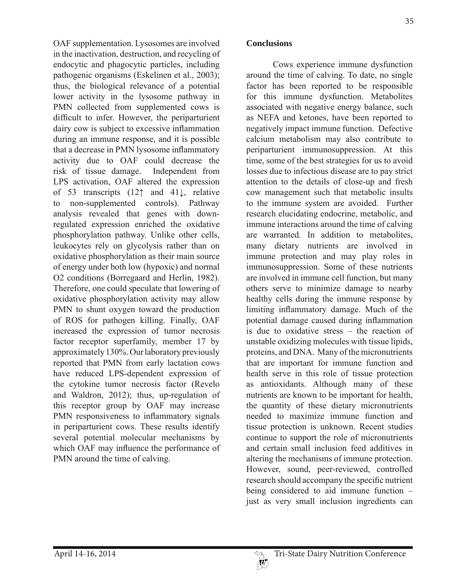OAF supplementation. Lysosomes are involved in the inactivation, destruction, and recycling of endocytic and phagocytic particles, including pathogenic organisms (Eskelinen et al., 2003); thus, the biological relevance of a potential lower activity in the lysosome pathway in PMN collected from supplemented cows is difficult to infer. However, the periparturient dairy cow is subject to excessive inflammation during an immune response, and it is possible that a decrease in PMN lysosome inflammatory activity due to OAF could decrease the risk of tissue damage. Independent from LPS activation, OAF altered the expression of 53 transcripts  $(12<sup>†</sup>$  and  $41<sup>†</sup>$ , relative to non-supplemented controls). Pathway analysis revealed that genes with downregulated expression enriched the oxidative phosphorylation pathway. Unlike other cells, leukocytes rely on glycolysis rather than on oxidative phosphorylation as their main source of energy under both low (hypoxic) and normal O2 conditions (Borregaard and Herlin, 1982). Therefore, one could speculate that lowering of oxidative phosphorylation activity may allow PMN to shunt oxygen toward the production of ROS for pathogen killing. Finally, OAF increased the expression of tumor necrosis factor receptor superfamily, member 17 by approximately 130%. Our laboratory previously reported that PMN from early lactation cows have reduced LPS-dependent expression of the cytokine tumor necrosis factor (Revelo and Waldron, 2012); thus, up-regulation of this receptor group by OAF may increase PMN responsiveness to inflammatory signals in periparturient cows. These results identify several potential molecular mechanisms by which OAF may influence the performance of PMN around the time of calving.

### **Conclusions**

 Cows experience immune dysfunction around the time of calving. To date, no single factor has been reported to be responsible for this immune dysfunction. Metabolites associated with negative energy balance, such as NEFA and ketones, have been reported to negatively impact immune function. Defective calcium metabolism may also contribute to periparturient immunosuppression. At this time, some of the best strategies for us to avoid losses due to infectious disease are to pay strict attention to the details of close-up and fresh cow management such that metabolic insults to the immune system are avoided. Further research elucidating endocrine, metabolic, and immune interactions around the time of calving are warranted. In addition to metabolites, many dietary nutrients are involved in immune protection and may play roles in immunosuppression. Some of these nutrients are involved in immune cell function, but many others serve to minimize damage to nearby healthy cells during the immune response by limiting inflammatory damage. Much of the potential damage caused during inflammation is due to oxidative stress – the reaction of unstable oxidizing molecules with tissue lipids, proteins, and DNA. Many of the micronutrients that are important for immune function and health serve in this role of tissue protection as antioxidants. Although many of these nutrients are known to be important for health, the quantity of these dietary micronutrients needed to maximize immune function and tissue protection is unknown. Recent studies continue to support the role of micronutrients and certain small inclusion feed additives in altering the mechanisms of immune protection. However, sound, peer-reviewed, controlled research should accompany the specific nutrient being considered to aid immune function – just as very small inclusion ingredients can

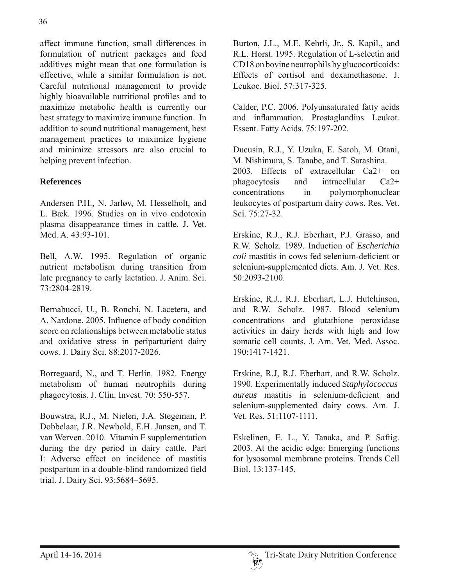affect immune function, small differences in formulation of nutrient packages and feed additives might mean that one formulation is effective, while a similar formulation is not. Careful nutritional management to provide highly bioavailable nutritional profiles and to maximize metabolic health is currently our best strategy to maximize immune function. In addition to sound nutritional management, best management practices to maximize hygiene and minimize stressors are also crucial to helping prevent infection.

# **References**

Andersen P.H., N. Jarløv, M. Hesselholt, and L. Bæk. 1996. Studies on in vivo endotoxin plasma disappearance times in cattle. J. Vet. Med. A. 43:93-101.

Bell, A.W. 1995. Regulation of organic nutrient metabolism during transition from late pregnancy to early lactation. J. Anim. Sci. 73:2804-2819.

Bernabucci, U., B. Ronchi, N. Lacetera, and A. Nardone. 2005. Influence of body condition score on relationships between metabolic status and oxidative stress in periparturient dairy cows. J. Dairy Sci. 88:2017-2026.

Borregaard, N., and T. Herlin. 1982. Energy metabolism of human neutrophils during phagocytosis. J. Clin. Invest. 70: 550-557.

Bouwstra, R.J., M. Nielen, J.A. Stegeman, P. Dobbelaar, J.R. Newbold, E.H. Jansen, and T. van Werven. 2010. Vitamin E supplementation during the dry period in dairy cattle. Part I: Adverse effect on incidence of mastitis postpartum in a double-blind randomized field trial. J. Dairy Sci. 93:5684–5695.

Burton, J.L., M.E. Kehrli, Jr., S. Kapil., and R.L. Horst. 1995. Regulation of L-selectin and CD18 on bovine neutrophils by glucocorticoids: Effects of cortisol and dexamethasone. J. Leukoc. Biol. 57:317-325.

Calder, P.C. 2006. Polyunsaturated fatty acids and inflammation. Prostaglandins Leukot. Essent. Fatty Acids. 75:197-202.

Ducusin, R.J., Y. Uzuka, E. Satoh, M. Otani, M. Nishimura, S. Tanabe, and T. Sarashina. 2003. Effects of extracellular Ca2+ on phagocytosis and intracellular Ca2+ concentrations in polymorphonuclear leukocytes of postpartum dairy cows. Res. Vet. Sci. 75:27-32.

Erskine, R.J., R.J. Eberhart, P.J. Grasso, and R.W. Scholz. 1989. Induction of *Escherichia coli* mastitis in cows fed selenium-deficient or selenium-supplemented diets. Am. J. Vet. Res. 50:2093-2100.

Erskine, R.J., R.J. Eberhart, L.J. Hutchinson, and R.W. Scholz. 1987. Blood selenium concentrations and glutathione peroxidase activities in dairy herds with high and low somatic cell counts. J. Am. Vet. Med. Assoc. 190:1417-1421.

Erskine, R.J, R.J. Eberhart, and R.W. Scholz. 1990. Experimentally induced *Staphylococcus aureus* mastitis in selenium-deficient and selenium-supplemented dairy cows. Am. J. Vet. Res. 51:1107-1111.

Eskelinen, E. L., Y. Tanaka, and P. Saftig. 2003. At the acidic edge: Emerging functions for lysosomal membrane proteins. Trends Cell Biol. 13:137-145.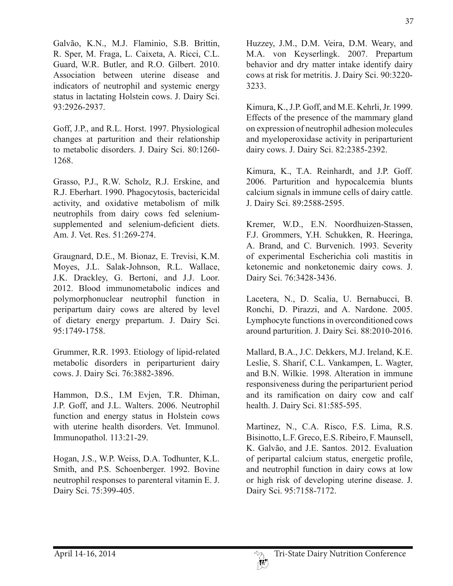Galvão, K.N., M.J. Flaminio, S.B. Brittin, R. Sper, M. Fraga, L. Caixeta, A. Ricci, C.L. Guard, W.R. Butler, and R.O. Gilbert. 2010. Association between uterine disease and indicators of neutrophil and systemic energy status in lactating Holstein cows. J. Dairy Sci. 93:2926-2937.

Goff, J.P., and R.L. Horst. 1997. Physiological changes at parturition and their relationship to metabolic disorders. J. Dairy Sci. 80:1260- 1268.

Grasso, P.J., R.W. Scholz, R.J. Erskine, and R.J. Eberhart. 1990. Phagocytosis, bactericidal activity, and oxidative metabolism of milk neutrophils from dairy cows fed seleniumsupplemented and selenium-deficient diets. Am. J. Vet. Res. 51:269-274.

Graugnard, D.E., M. Bionaz, E. Trevisi, K.M. Moyes, J.L. Salak-Johnson, R.L. Wallace, J.K. Drackley, G. Bertoni, and J.J. Loor. 2012. Blood immunometabolic indices and polymorphonuclear neutrophil function in peripartum dairy cows are altered by level of dietary energy prepartum. J. Dairy Sci. 95:1749-1758.

Grummer, R.R. 1993. Etiology of lipid-related metabolic disorders in periparturient dairy cows. J. Dairy Sci. 76:3882-3896.

Hammon, D.S., I.M Evjen, T.R. Dhiman, J.P. Goff, and J.L. Walters. 2006. Neutrophil function and energy status in Holstein cows with uterine health disorders. Vet. Immunol. Immunopathol. 113:21-29.

Hogan, J.S., W.P. Weiss, D.A. Todhunter, K.L. Smith, and P.S. Schoenberger. 1992. Bovine neutrophil responses to parenteral vitamin E. J. Dairy Sci. 75:399-405.

Huzzey, J.M., D.M. Veira, D.M. Weary, and M.A. von Keyserlingk. 2007. Prepartum behavior and dry matter intake identify dairy cows at risk for metritis. J. Dairy Sci. 90:3220- 3233.

Kimura, K., J.P. Goff, and M.E. Kehrli, Jr. 1999. Effects of the presence of the mammary gland on expression of neutrophil adhesion molecules and myeloperoxidase activity in periparturient dairy cows. J. Dairy Sci. 82:2385-2392.

Kimura, K., T.A. Reinhardt, and J.P. Goff. 2006. Parturition and hypocalcemia blunts calcium signals in immune cells of dairy cattle. J. Dairy Sci. 89:2588-2595.

Kremer, W.D., E.N. Noordhuizen-Stassen, F.J. Grommers, Y.H. Schukken, R. Heeringa, A. Brand, and C. Burvenich. 1993. Severity of experimental Escherichia coli mastitis in ketonemic and nonketonemic dairy cows. J. Dairy Sci. 76:3428-3436.

Lacetera, N., D. Scalia, U. Bernabucci, B. Ronchi, D. Pirazzi, and A. Nardone. 2005. Lymphocyte functions in overconditioned cows around parturition. J. Dairy Sci. 88:2010-2016.

Mallard, B.A., J.C. Dekkers, M.J. Ireland, K.E. Leslie, S. Sharif, C.L. Vankampen, L. Wagter, and B.N. Wilkie. 1998. Alteration in immune responsiveness during the periparturient period and its ramification on dairy cow and calf health. J. Dairy Sci. 81:585-595.

Martinez, N., C.A. Risco, F.S. Lima, R.S. Bisinotto, L.F. Greco, E.S. Ribeiro, F. Maunsell, K. Galvão, and J.E. Santos. 2012. Evaluation of peripartal calcium status, energetic profile, and neutrophil function in dairy cows at low or high risk of developing uterine disease. J. Dairy Sci. 95:7158-7172.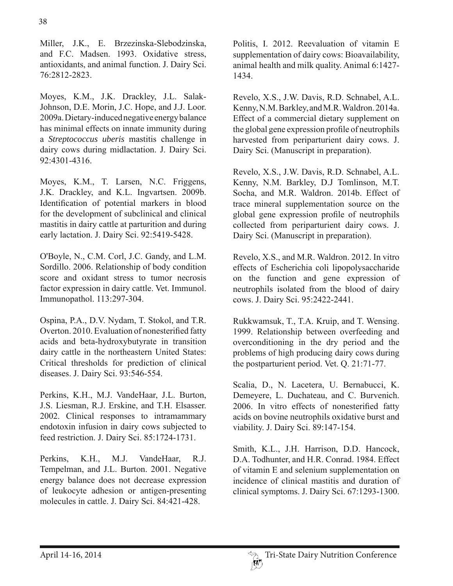Miller, J.K., E. Brzezinska-Slebodzinska, and F.C. Madsen. 1993. Oxidative stress, antioxidants, and animal function. J. Dairy Sci. 76:2812-2823.

Moyes, K.M., J.K. Drackley, J.L. Salak-Johnson, D.E. Morin, J.C. Hope, and J.J. Loor. 2009a. Dietary-induced negative energy balance has minimal effects on innate immunity during a *Streptococcus uberis* mastitis challenge in dairy cows during midlactation. J. Dairy Sci. 92:4301-4316.

Moyes, K.M., T. Larsen, N.C. Friggens, J.K. Drackley, and K.L. Ingvartsen. 2009b. Identification of potential markers in blood for the development of subclinical and clinical mastitis in dairy cattle at parturition and during early lactation. J. Dairy Sci. 92:5419-5428.

O'Boyle, N., C.M. Corl, J.C. Gandy, and L.M. Sordillo. 2006. Relationship of body condition score and oxidant stress to tumor necrosis factor expression in dairy cattle. Vet. Immunol. Immunopathol. 113:297-304.

Ospina, P.A., D.V. Nydam, T. Stokol, and T.R. Overton. 2010. Evaluation of nonesterified fatty acids and beta-hydroxybutyrate in transition dairy cattle in the northeastern United States: Critical thresholds for prediction of clinical diseases. J. Dairy Sci. 93:546-554.

Perkins, K.H., M.J. VandeHaar, J.L. Burton, J.S. Liesman, R.J. Erskine, and T.H. Elsasser. 2002. Clinical responses to intramammary endotoxin infusion in dairy cows subjected to feed restriction. J. Dairy Sci. 85:1724-1731.

Perkins, K.H., M.J. VandeHaar, R.J. Tempelman, and J.L. Burton. 2001. Negative energy balance does not decrease expression of leukocyte adhesion or antigen-presenting molecules in cattle. J. Dairy Sci. 84:421-428.

Politis, I. 2012. Reevaluation of vitamin E supplementation of dairy cows: Bioavailability, animal health and milk quality. Animal 6:1427- 1434.

Revelo, X.S., J.W. Davis, R.D. Schnabel, A.L. Kenny, N.M. Barkley, and M.R. Waldron. 2014a. Effect of a commercial dietary supplement on the global gene expression profile of neutrophils harvested from periparturient dairy cows. J. Dairy Sci. (Manuscript in preparation).

Revelo, X.S., J.W. Davis, R.D. Schnabel, A.L. Kenny, N.M. Barkley, D.J Tomlinson, M.T. Socha, and M.R. Waldron. 2014b. Effect of trace mineral supplementation source on the global gene expression profile of neutrophils collected from periparturient dairy cows. J. Dairy Sci. (Manuscript in preparation).

Revelo, X.S., and M.R. Waldron. 2012. In vitro effects of Escherichia coli lipopolysaccharide on the function and gene expression of neutrophils isolated from the blood of dairy cows. J. Dairy Sci. 95:2422-2441.

Rukkwamsuk, T., T.A. Kruip, and T. Wensing. 1999. Relationship between overfeeding and overconditioning in the dry period and the problems of high producing dairy cows during the postparturient period. Vet. Q. 21:71-77.

Scalia, D., N. Lacetera, U. Bernabucci, K. Demeyere, L. Duchateau, and C. Burvenich. 2006. In vitro effects of nonesterified fatty acids on bovine neutrophils oxidative burst and viability. J. Dairy Sci. 89:147-154.

Smith, K.L., J.H. Harrison, D.D. Hancock, D.A. Todhunter, and H.R. Conrad. 1984. Effect of vitamin E and selenium supplementation on incidence of clinical mastitis and duration of clinical symptoms. J. Dairy Sci. 67:1293-1300.